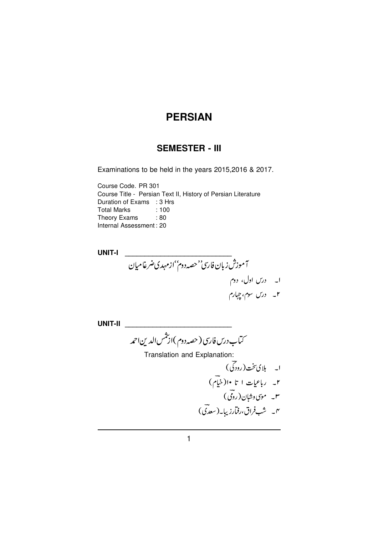# **SEMESTER - III**

Examinations to be held in the years 2015, 2016 & 2017.

Course Code. PR 301 Course Title - Persian Text II, History of Persian Literature Duration of Exams : 3 Hrs **Total Marks**  $: 100$ Theory Exams : 80 Internal Assessment: 20

**UNIT-I** .<br>آموزش زبان فار<sub>ی</sub>''حصہ دوم''ازمہدی ضرغامیان ا۔ درس اول، دوم<br>۲۔ درس سوم، چہارم

**UNIT-II** 

۔<br>سآب درس فار<sub>ی</sub> ( حصہ دوم )از شس الدین احمد

Translation and Explanation: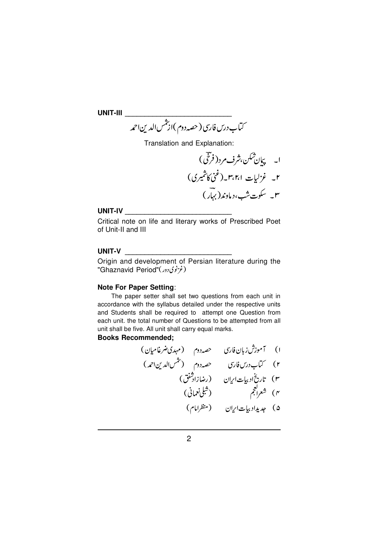UNIT-III and the contract of the contract of the contract of the contract of the contract of the contract of the contract of the contract of the contract of the contract of the contract of the contract of the contract of t

Translation and Explanation:

#### UNIT-IV

Critical note on life and literary works of Prescribed Poet of Unit-II and III

#### UNIT-V

Origin and development of Persian literature during the "Ghaznavid Period"(غ انوی دور)

### **Note For Paper Setting:**

The paper setter shall set two questions from each unit in accordance with the syllabus detailed under the respective units and Students shall be required to attempt one Question from each unit. the total number of Questions to be attempted from all unit shall be five. All unit shall carry equal marks.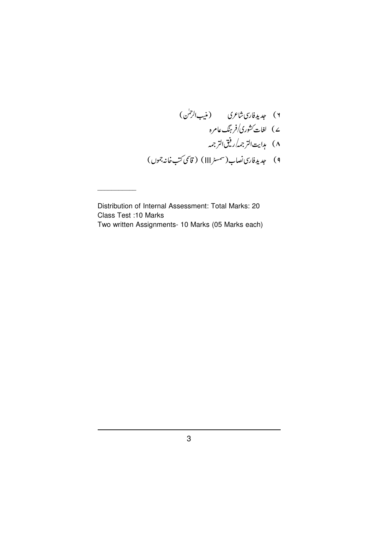۲) جدیدفار<sub>ت</sub>ی-شاعری (منیبالرحمٰن) ے) لغات *کشور*ی/فرہنگ عامرہ<br>۸) ہدایت التر جمہ *ا*رفیق التر جمہ ۹) جدیدفاری نصاب(سمسٹر III) (قاسمی کتب خانہ جموں)

Distribution of Internal Assessment: Total Marks: 20 Class Test : 10 Marks Two written Assignments- 10 Marks (05 Marks each)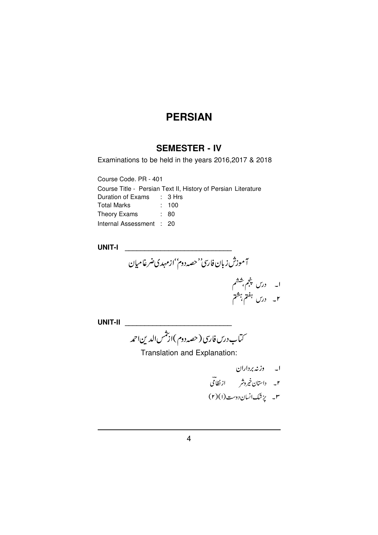# **SEMESTER - IV**

Examinations to be held in the years 2016, 2017 & 2018

Course Code. PR - 401

Course Title - Persian Text II, History of Persian Literature Duration of Exams : 3 Hrs **Total Marks**  $: 100$ Theory Exams : 80

| -- - |                          |  |
|------|--------------------------|--|
|      | Internal Assessment : 20 |  |

**UNIT-I** 

آموزش زبان فارسٌ'حصہ دوم''ازمہدی ضرغامیان ا۔ درس پنجم، ششم<br>۲۔ درس <sup>ہفتم ہ</sup>شتم

**UNIT-II** 

۔<br>سماب درس فارسی ( حصہ دوم )ارتشس الدین احمد

Translation and Explanation:

ا۔ وزنہ برداران ۲۔ داستان خیروشر ازنظا<sup>ی</sup> ۳۔ یزشک انسان دوست (۲) (۲)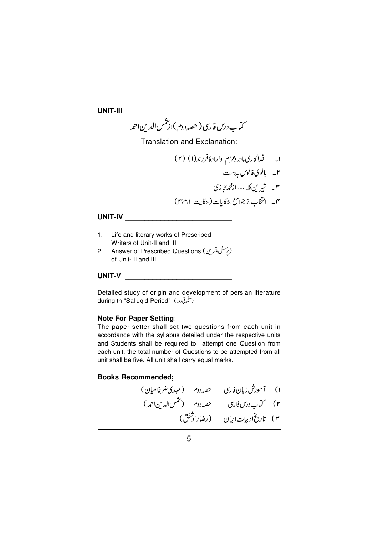Translation and Explanation:

# 

- 1. Life and literary works of Prescribed Writers of Unit-II and III
- 2. Answer of Prescribed Questions (پِسش وتمرین) of Unit- II and III

## UNIT-V and the contract of the contract of the contract of the contract of the contract of the contract of the

Detailed study of origin and development of persian literature during th "Saljuqid Period" (سلجوتی دور)

### **Note For Paper Setting:**

The paper setter shall set two questions from each unit in accordance with the syllabus detailed under the respective units and Students shall be required to attempt one Question from each unit. the total number of Questions to be attempted from all unit shall be five. All unit shall carry equal marks.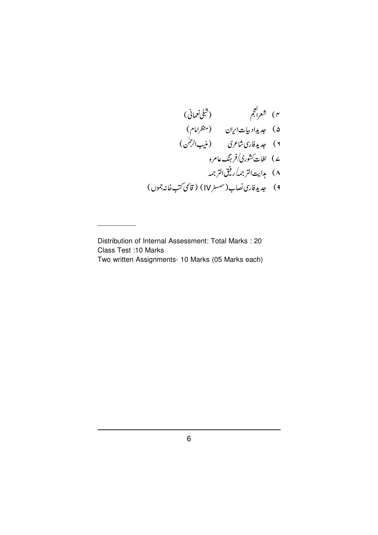Distribution of Internal Assessment: Total Marks : 20 Class Test :10 Marks Two written Assignments- 10 Marks (05 Marks each)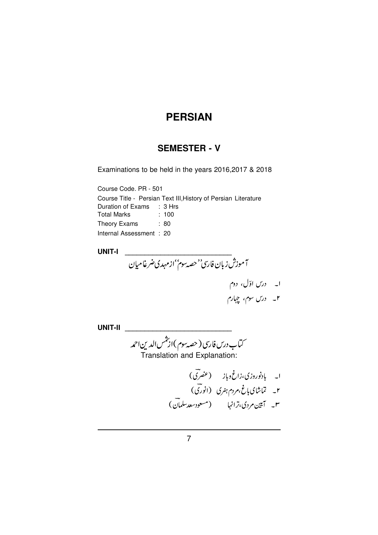# **SEMESTER - V**

Examinations to be held in the years 2016, 2017 & 2018

Course Code. PR - 501 Course Title - Persian Text III, History of Persian Literature Duration of Exams : 3 Hrs **Total Marks**  $: 100$ Theory Exams : 80 Internal Assessment: 20

**UNIT-I** 

۔<br>آموزش زبان فار<sub>ی</sub>''حصہ <sub>پی</sub>م''ازمہدی ضرغامیان ا۔ درس اوّل، دوم<br>۲۔ درس سوم، چہارم

UNIT-II ستاب درس فارسی ( حصہ سوم )از شمس الدین احمد<br>- Translation and Explanation: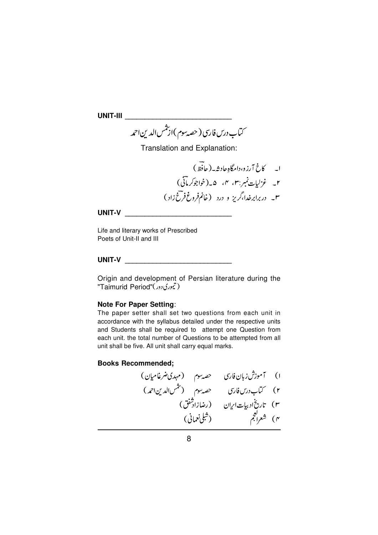Translation and Explanation:

## UNIT-V AND THE CONTROL OF THE CONTROL OF THE CONTROL OF THE CONTROL OF THE CONTROL OF THE CONTROL OF THE CONTROL OF THE CONTROL OF THE CONTROL OF THE CONTROL OF THE CONTROL OF THE CONTROL OF THE CONTROL OF THE CONTROL OF T

Life and literary works of Prescribed Poets of Unit-II and III

### UNIT-V and the contract of the contract of the contract of the contract of the contract of the contract of the

Origin and development of Persian literature during the "Taimurid Period"(تیموری دور)

### **Note For Paper Setting:**

The paper setter shall set two questions from each unit in accordance with the syllabus detailed under the respective units and Students shall be required to attempt one Question from each unit. the total number of Questions to be attempted from all unit shall be five. All unit shall carry equal marks.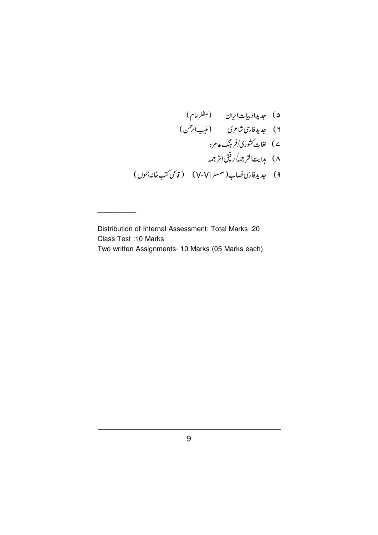۵) جدیداد بیات اریان (منظرامام)<br>۲) جدیدفاری شاعری (منیب الرحسٰ)<br>۷) لغات کشوری/فرینگ عامرہ ۸) ہدایت التر جمہ رفیق التر جمہ ۹) جدیدفاری نصاب(شمسٹر V-VI) (قاسمی کتب خانہ جموں)

Distribution of Internal Assessment: Total Marks :20 **Class Test :10 Marks** Two written Assignments- 10 Marks (05 Marks each)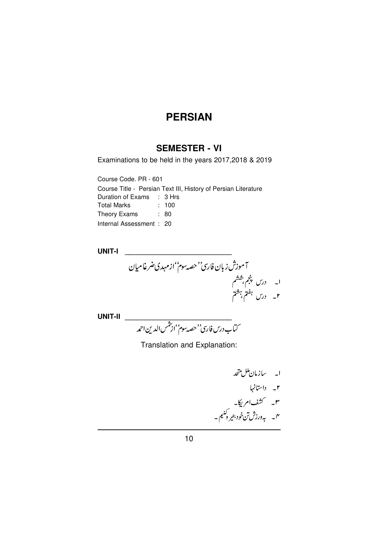# **SEMESTER - VI**

Examinations to be held in the years 2017, 2018 & 2019

Course Code. PR - 601 Course Title - Persian Text III, History of Persian Literature Duration of Exams : 3 Hrs **Total Marks**  $: 100$ Theory Exams : 80 Internal Assessment: 20

**UNIT-I** 

آموزش زبان فار<sub>ی</sub>''حصہ سوم''ازمہدی ضرغامیان ا۔ درس پنجم بششم<br>۲۔ درس ہفتم، ہشتم

Translation and Explanation:

ا۔ سازمان ملل متحد<br>۲۔ داستانہا<br>۳۔ کشف امریکا۔<br>۴۔ بہ درزش تن خود بنیر وکنیم۔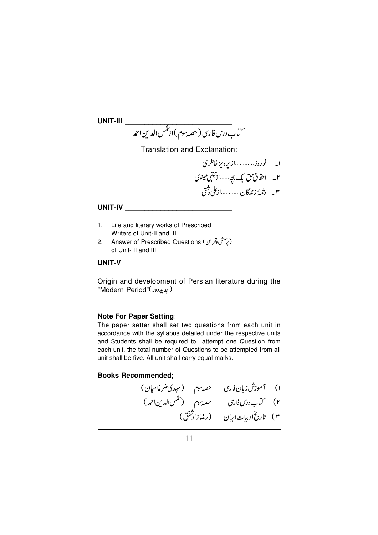UNIT-III \_

$$
\overbrace{(\mathcal{L}^{\mathcal{P}}(z))}^{L} = \mathcal{L}^{\mathcal{P}}(z) \mathcal{L}^{\mathcal{P}}(z) \mathcal{L}^{\mathcal{P}}(z) \mathcal{L}^{\mathcal{P}}(z) \mathcal{L}^{\mathcal{P}}(z) \mathcal{L}^{\mathcal{P}}(z) \mathcal{L}^{\mathcal{P}}(z) \mathcal{L}^{\mathcal{P}}(z) \mathcal{L}^{\mathcal{P}}(z) \mathcal{L}^{\mathcal{P}}(z) \mathcal{L}^{\mathcal{P}}(z) \mathcal{L}^{\mathcal{P}}(z) \mathcal{L}^{\mathcal{P}}(z) \mathcal{L}^{\mathcal{P}}(z) \mathcal{L}^{\mathcal{P}}(z) \mathcal{L}^{\mathcal{P}}(z) \mathcal{L}^{\mathcal{P}}(z) \mathcal{L}^{\mathcal{P}}(z) \mathcal{L}^{\mathcal{P}}(z) \mathcal{L}^{\mathcal{P}}(z) \mathcal{L}^{\mathcal{P}}(z) \mathcal{L}^{\mathcal{P}}(z) \mathcal{L}^{\mathcal{P}}(z) \mathcal{L}^{\mathcal{P}}(z) \mathcal{L}^{\mathcal{P}}(z) \mathcal{L}^{\mathcal{P}}(z) \mathcal{L}^{\mathcal{P}}(z) \mathcal{L}^{\mathcal{P}}(z) \mathcal{L}^{\mathcal{P}}(z) \mathcal{L}^{\mathcal{P}}(z) \mathcal{L}^{\mathcal{P}}(z) \mathcal{L}^{\mathcal{P}}(z) \mathcal{L}^{\mathcal{P}}(z) \mathcal{L}^{\mathcal{P}}(z) \mathcal{L}^{\mathcal{P}}(z) \mathcal{L}^{\mathcal{P}}(z) \mathcal{L}^{\mathcal{P}}(z) \mathcal{L}^{\mathcal{P}}(z) \mathcal{L}^{\mathcal{P}}(z) \mathcal{L}^{\mathcal{P}}(z) \mathcal{L}^{\mathcal{P}}(z) \mathcal{L}^{\mathcal{P}}(z) \mathcal{L}^{\mathcal{P}}(z) \mathcal{L}^{\mathcal{P}}(z) \mathcal{L}^{\mathcal{P}}(z) \mathcal{L}^{\mathcal{P}}(z
$$

Translation and Explanation:

ا۔ نوروز............از پرویزخانلری ۲۔ احقاق حق یک بچہ تشہ از مجتبیٰ مینوی 

#### UNIT-IV

- 1. Life and literary works of Prescribed Writers of Unit-II and III
- Answer of Prescribed Questions (پرسش وتمرین)  $2.$ of Unit- II and III

#### UNIT-V

Origin and development of Persian literature during the "Modern Period"(بلدیددور)

## **Note For Paper Setting:**

The paper setter shall set two questions from each unit in accordance with the syllabus detailed under the respective units and Students shall be required to attempt one Question from each unit. the total number of Questions to be attempted from all unit shall be five. All unit shall carry equal marks.